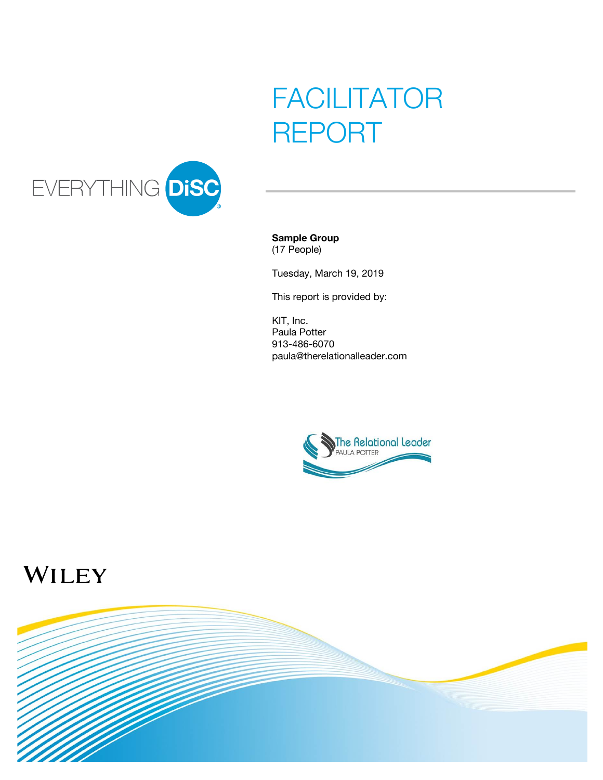# FACILITATOR REPORT



#### **Sample Group** (17 People)

Tuesday, March 19, 2019

This report is provided by:

KIT, Inc. Paula Potter 913-486-6070 paula@therelationalleader.com



# WILEY

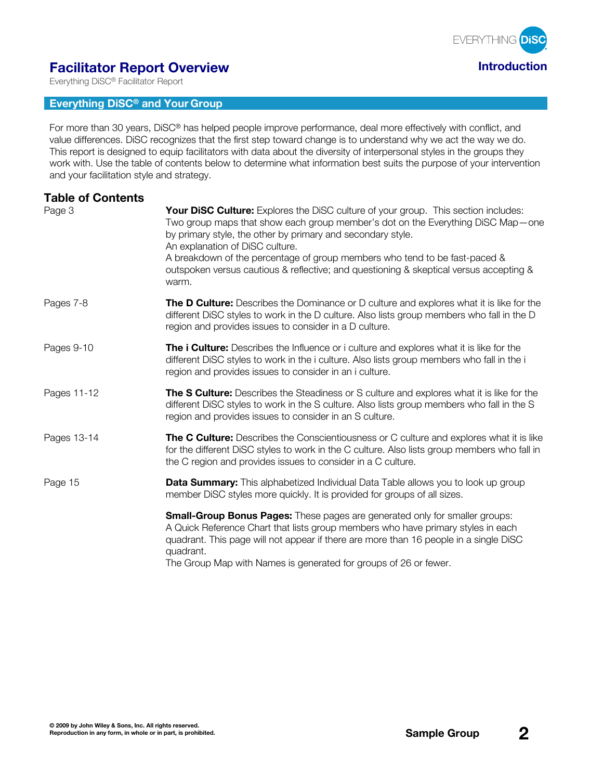

# **Facilitator Report Overview Introduction**

Everything DiSC® Facilitator Report

#### **Everything DiSC® and Your Group**

For more than 30 years, DiSC® has helped people improve performance, deal more effectively with conflict, and value differences. DiSC recognizes that the first step toward change is to understand why we act the way we do. This report is designed to equip facilitators with data about the diversity of interpersonal styles in the groups they work with. Use the table of contents below to determine what information best suits the purpose of your intervention and your facilitation style and strategy.

| <b>Table of Contents</b><br>Page 3 | Your DiSC Culture: Explores the DiSC culture of your group. This section includes:<br>Two group maps that show each group member's dot on the Everything DiSC Map — one<br>by primary style, the other by primary and secondary style.<br>An explanation of DiSC culture.<br>A breakdown of the percentage of group members who tend to be fast-paced &<br>outspoken versus cautious & reflective; and questioning & skeptical versus accepting &<br>warm. |
|------------------------------------|------------------------------------------------------------------------------------------------------------------------------------------------------------------------------------------------------------------------------------------------------------------------------------------------------------------------------------------------------------------------------------------------------------------------------------------------------------|
| Pages 7-8                          | <b>The D Culture:</b> Describes the Dominance or D culture and explores what it is like for the<br>different DiSC styles to work in the D culture. Also lists group members who fall in the D<br>region and provides issues to consider in a D culture.                                                                                                                                                                                                    |
| Pages 9-10                         | The i Culture: Describes the Influence or i culture and explores what it is like for the<br>different DiSC styles to work in the i culture. Also lists group members who fall in the i<br>region and provides issues to consider in an i culture.                                                                                                                                                                                                          |
| Pages 11-12                        | The S Culture: Describes the Steadiness or S culture and explores what it is like for the<br>different DiSC styles to work in the S culture. Also lists group members who fall in the S<br>region and provides issues to consider in an S culture.                                                                                                                                                                                                         |
| Pages 13-14                        | <b>The C Culture:</b> Describes the Conscientiousness or C culture and explores what it is like<br>for the different DiSC styles to work in the C culture. Also lists group members who fall in<br>the C region and provides issues to consider in a C culture.                                                                                                                                                                                            |
| Page 15                            | <b>Data Summary:</b> This alphabetized Individual Data Table allows you to look up group<br>member DiSC styles more quickly. It is provided for groups of all sizes.                                                                                                                                                                                                                                                                                       |
|                                    | <b>Small-Group Bonus Pages:</b> These pages are generated only for smaller groups:<br>A Quick Reference Chart that lists group members who have primary styles in each<br>quadrant. This page will not appear if there are more than 16 people in a single DiSC<br>quadrant.<br>The Group Map with Names is generated for groups of 26 or fewer.                                                                                                           |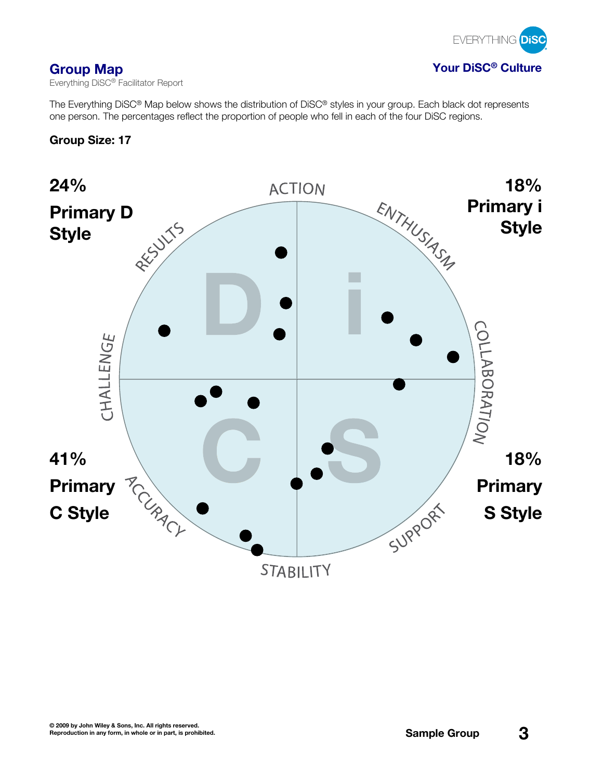

**Group Map Your DiSC® Culture**

Everything DiSC® Facilitator Report

The Everything DiSC® Map below shows the distribution of DiSC® styles in your group. Each black dot represents one person. The percentages reflect the proportion of people who fell in each of the four DiSC regions.

# **Group Size: 17**

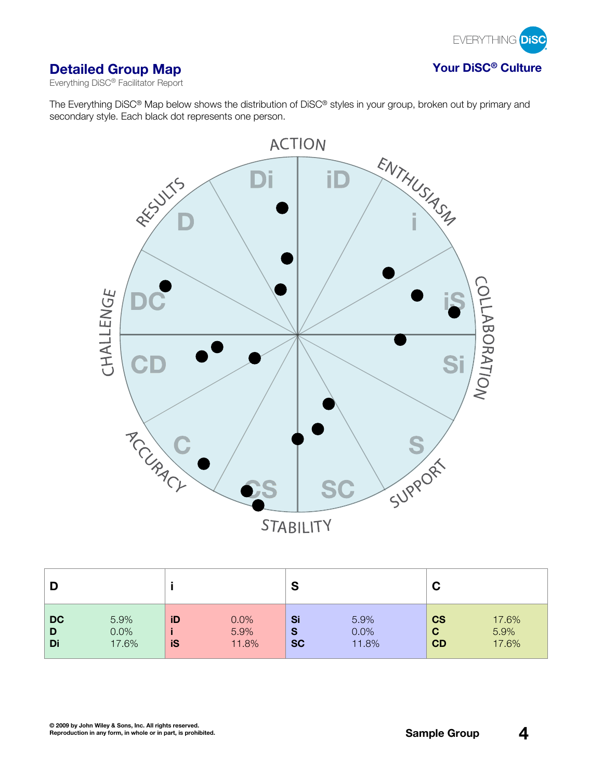

# **Detailed Group Map Your DiSC® Culture**

Everything DiSC® Facilitator Report

The Everything DiSC® Map below shows the distribution of DiSC® styles in your group, broken out by primary and secondary style. Each black dot represents one person.



|                      |                       |          |                       | S                    |                       | C                                     |                        |
|----------------------|-----------------------|----------|-----------------------|----------------------|-----------------------|---------------------------------------|------------------------|
| <b>DC</b><br>D<br>Di | 5.9%<br>0.0%<br>17.6% | iD<br>iS | 0.0%<br>5.9%<br>11.8% | Si<br>S<br><b>SC</b> | 5.9%<br>0.0%<br>11.8% | <b>CS</b><br>$\mathbf C$<br><b>CD</b> | 17.6%<br>5.9%<br>17.6% |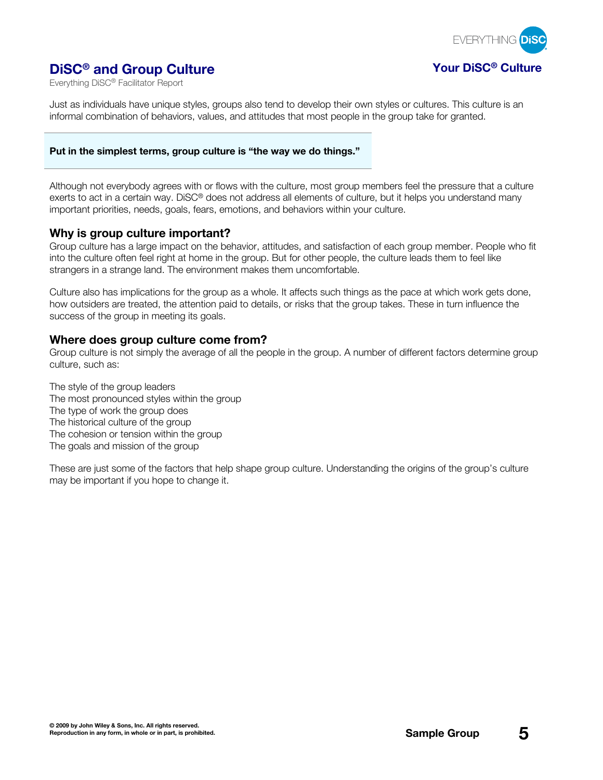

# **DiSC® and Group Culture Your DiSC® Culture**

Everything DiSC® Facilitator Report

Just as individuals have unique styles, groups also tend to develop their own styles or cultures. This culture is an informal combination of behaviors, values, and attitudes that most people in the group take for granted.

#### **Put in the simplest terms, group culture is "the way we do things."**

Although not everybody agrees with or flows with the culture, most group members feel the pressure that a culture exerts to act in a certain way. DiSC® does not address all elements of culture, but it helps you understand many important priorities, needs, goals, fears, emotions, and behaviors within your culture.

### **Why is group culture important?**

Group culture has a large impact on the behavior, attitudes, and satisfaction of each group member. People who fit into the culture often feel right at home in the group. But for other people, the culture leads them to feel like strangers in a strange land. The environment makes them uncomfortable.

Culture also has implications for the group as a whole. It affects such things as the pace at which work gets done, how outsiders are treated, the attention paid to details, or risks that the group takes. These in turn influence the success of the group in meeting its goals.

### **Where does group culture come from?**

Group culture is not simply the average of all the people in the group. A number of different factors determine group culture, such as:

The style of the group leaders The most pronounced styles within the group The type of work the group does The historical culture of the group The cohesion or tension within the group The goals and mission of the group

These are just some of the factors that help shape group culture. Understanding the origins of the group's culture may be important if you hope to change it.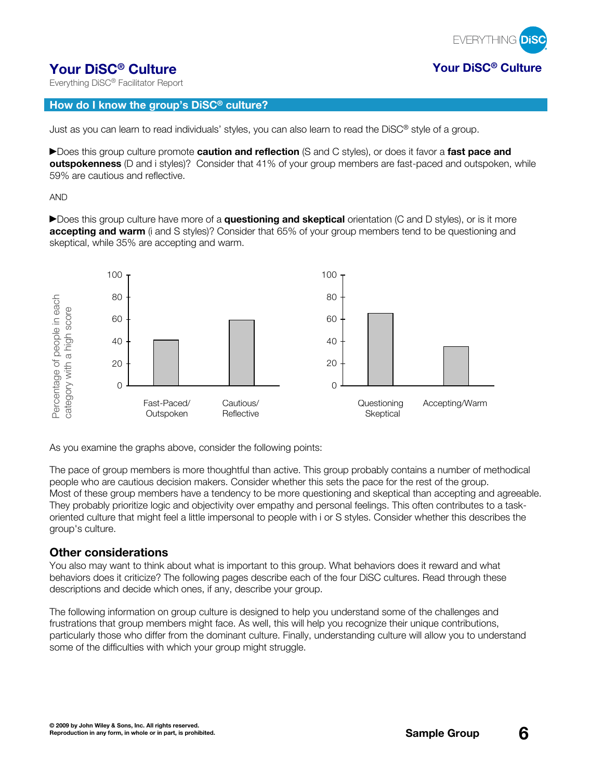

# **Your DiSC® Culture Your DiSC® Culture**

Everything DiSC® Facilitator Report

#### **How do I know the group's DiSC® culture?**

Just as you can learn to read individuals' styles, you can also learn to read the DiSC® style of a group.

Does this group culture promote **caution and reflection** (S and C styles), or does it favor a **fast pace and outspokenness** (D and i styles)? Consider that 41% of your group members are fast-paced and outspoken, while 59% are cautious and reflective.

AND

Does this group culture have more of a **questioning and skeptical** orientation (C and D styles), or is it more **accepting and warm** (i and S styles)? Consider that 65% of your group members tend to be questioning and skeptical, while 35% are accepting and warm.



As you examine the graphs above, consider the following points:

The pace of group members is more thoughtful than active. This group probably contains a number of methodical people who are cautious decision makers. Consider whether this sets the pace for the rest of the group. Most of these group members have a tendency to be more questioning and skeptical than accepting and agreeable. They probably prioritize logic and objectivity over empathy and personal feelings. This often contributes to a taskoriented culture that might feel a little impersonal to people with i or S styles. Consider whether this describes the group's culture.

#### **Other considerations**

You also may want to think about what is important to this group. What behaviors does it reward and what behaviors does it criticize? The following pages describe each of the four DiSC cultures. Read through these descriptions and decide which ones, if any, describe your group.

The following information on group culture is designed to help you understand some of the challenges and frustrations that group members might face. As well, this will help you recognize their unique contributions, particularly those who differ from the dominant culture. Finally, understanding culture will allow you to understand some of the difficulties with which your group might struggle.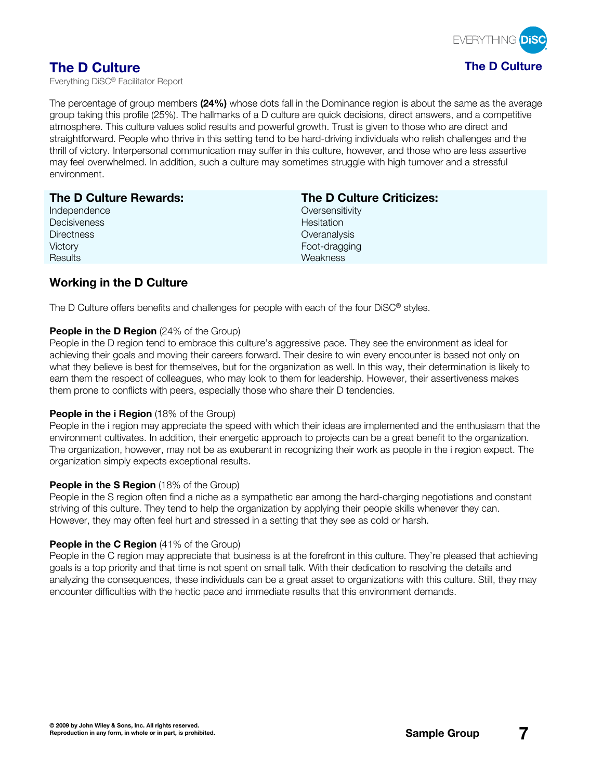

The percentage of group members **(24%)** whose dots fall in the Dominance region is about the same as the average group taking this profile (25%). The hallmarks of a D culture are quick decisions, direct answers, and a competitive atmosphere. This culture values solid results and powerful growth. Trust is given to those who are direct and straightforward. People who thrive in this setting tend to be hard-driving individuals who relish challenges and the thrill of victory. Interpersonal communication may suffer in this culture, however, and those who are less assertive may feel overwhelmed. In addition, such a culture may sometimes struggle with high turnover and a stressful environment.

| The D Culture Rewards: | <b>The D Culture Criticizes:</b> |
|------------------------|----------------------------------|
| Independence           | Oversensitivity                  |
| Decisiveness           | Hesitation                       |
| <b>Directness</b>      | Overanalysis                     |
| Victory                | Foot-dragging                    |
| Results                | Weakness                         |

# **Working in the D Culture**

The D Culture offers benefits and challenges for people with each of the four DiSC® styles.

#### **People in the D Region** (24% of the Group)

People in the D region tend to embrace this culture's aggressive pace. They see the environment as ideal for achieving their goals and moving their careers forward. Their desire to win every encounter is based not only on what they believe is best for themselves, but for the organization as well. In this way, their determination is likely to earn them the respect of colleagues, who may look to them for leadership. However, their assertiveness makes them prone to conflicts with peers, especially those who share their D tendencies.

#### **People in the i Region** (18% of the Group)

People in the i region may appreciate the speed with which their ideas are implemented and the enthusiasm that the environment cultivates. In addition, their energetic approach to projects can be a great benefit to the organization. The organization, however, may not be as exuberant in recognizing their work as people in the i region expect. The organization simply expects exceptional results.

#### **People in the S Region** (18% of the Group)

People in the S region often find a niche as a sympathetic ear among the hard-charging negotiations and constant striving of this culture. They tend to help the organization by applying their people skills whenever they can. However, they may often feel hurt and stressed in a setting that they see as cold or harsh.

#### **People in the C Region** (41% of the Group)

People in the C region may appreciate that business is at the forefront in this culture. They're pleased that achieving goals is a top priority and that time is not spent on small talk. With their dedication to resolving the details and analyzing the consequences, these individuals can be a great asset to organizations with this culture. Still, they may encounter difficulties with the hectic pace and immediate results that this environment demands.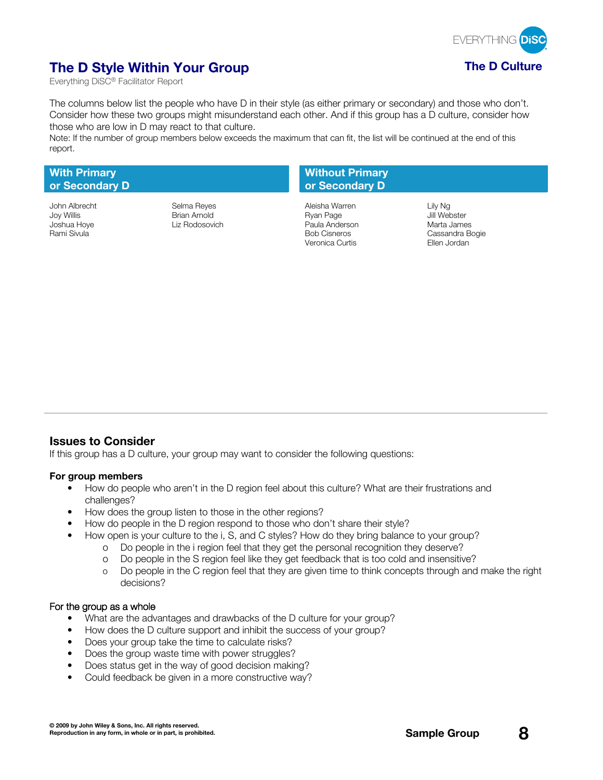

# **The D Style Within Your Group The D Culture**

Everything DiSC® Facilitator Report

The columns below list the people who have D in their style (as either primary or secondary) and those who don't. Consider how these two groups might misunderstand each other. And if this group has a D culture, consider how those who are low in D may react to that culture.

Note: If the number of group members below exceeds the maximum that can fit, the list will be continued at the end of this report.

#### **With Primary or Secondary D**

### **Without Primary or Secondary D**

John Albrecht Selma Reyes Aleisha Warren Lily Ng Joy Willis Brian Arnold Ryan Page Jill Webster Joshua Hoye Liz Rodosovich Paula Anderson Marta James Rami Sivula Bob Cisneros and Cassandra Bogie<br>Rami Sivula Bogie Curtis Curtis Curtis Curtis Fllen Jordan Veronica Curtis

### **Issues to Consider**

If this group has a D culture, your group may want to consider the following questions:

#### **For group members**

- How do people who aren't in the D region feel about this culture? What are their frustrations and challenges?
- How does the group listen to those in the other regions?
- How do people in the D region respond to those who don't share their style?
- How open is your culture to the i, S, and C styles? How do they bring balance to your group?
	- o Do people in the i region feel that they get the personal recognition they deserve?
		- o Do people in the S region feel like they get feedback that is too cold and insensitive?
		- o Do people in the C region feel that they are given time to think concepts through and make the right decisions?

- What are the advantages and drawbacks of the D culture for your group?
- How does the D culture support and inhibit the success of your group?
- Does your group take the time to calculate risks?
- Does the group waste time with power struggles?
- Does status get in the way of good decision making?
- Could feedback be given in a more constructive way?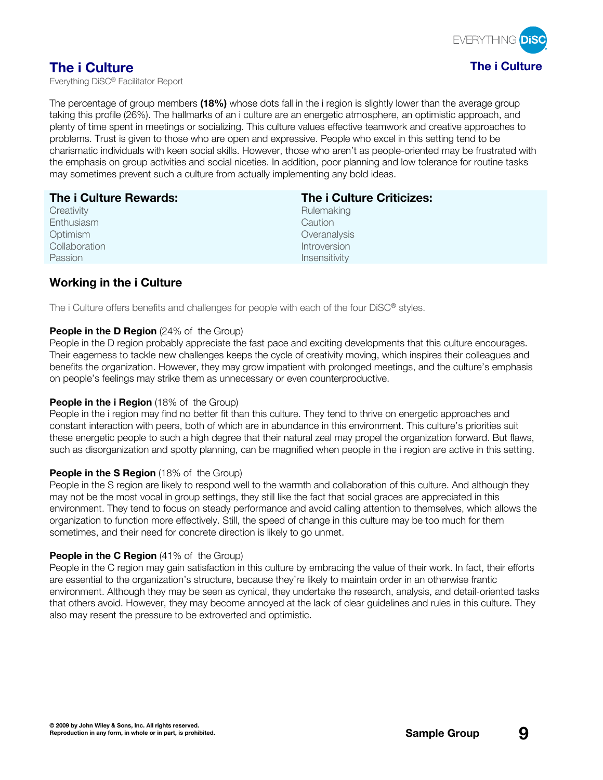

The percentage of group members **(18%)** whose dots fall in the i region is slightly lower than the average group taking this profile (26%). The hallmarks of an i culture are an energetic atmosphere, an optimistic approach, and plenty of time spent in meetings or socializing. This culture values effective teamwork and creative approaches to problems. Trust is given to those who are open and expressive. People who excel in this setting tend to be charismatic individuals with keen social skills. However, those who aren't as people-oriented may be frustrated with the emphasis on group activities and social niceties. In addition, poor planning and low tolerance for routine tasks may sometimes prevent such a culture from actually implementing any bold ideas.

| The i Culture Rewards: | The i Culture Criticizes: |
|------------------------|---------------------------|
| Creativity             | Rulemaking                |
| Enthusiasm             | Caution                   |
| Optimism               | Overanalysis              |
| Collaboration          | Introversion              |
| Passion                | Insensitivity             |

# **Working in the i Culture**

The i Culture offers benefits and challenges for people with each of the four DiSC® styles.

#### **People in the D Region** (24% of the Group)

People in the D region probably appreciate the fast pace and exciting developments that this culture encourages. Their eagerness to tackle new challenges keeps the cycle of creativity moving, which inspires their colleagues and benefits the organization. However, they may grow impatient with prolonged meetings, and the culture's emphasis on people's feelings may strike them as unnecessary or even counterproductive.

#### **People in the i Region** (18% of the Group)

People in the i region may find no better fit than this culture. They tend to thrive on energetic approaches and constant interaction with peers, both of which are in abundance in this environment. This culture's priorities suit these energetic people to such a high degree that their natural zeal may propel the organization forward. But flaws, such as disorganization and spotty planning, can be magnified when people in the i region are active in this setting.

#### **People in the S Region** (18% of the Group)

People in the S region are likely to respond well to the warmth and collaboration of this culture. And although they may not be the most vocal in group settings, they still like the fact that social graces are appreciated in this environment. They tend to focus on steady performance and avoid calling attention to themselves, which allows the organization to function more effectively. Still, the speed of change in this culture may be too much for them sometimes, and their need for concrete direction is likely to go unmet.

#### **People in the C Region** (41% of the Group)

People in the C region may gain satisfaction in this culture by embracing the value of their work. In fact, their efforts are essential to the organization's structure, because they're likely to maintain order in an otherwise frantic environment. Although they may be seen as cynical, they undertake the research, analysis, and detail-oriented tasks that others avoid. However, they may become annoyed at the lack of clear guidelines and rules in this culture. They also may resent the pressure to be extroverted and optimistic.

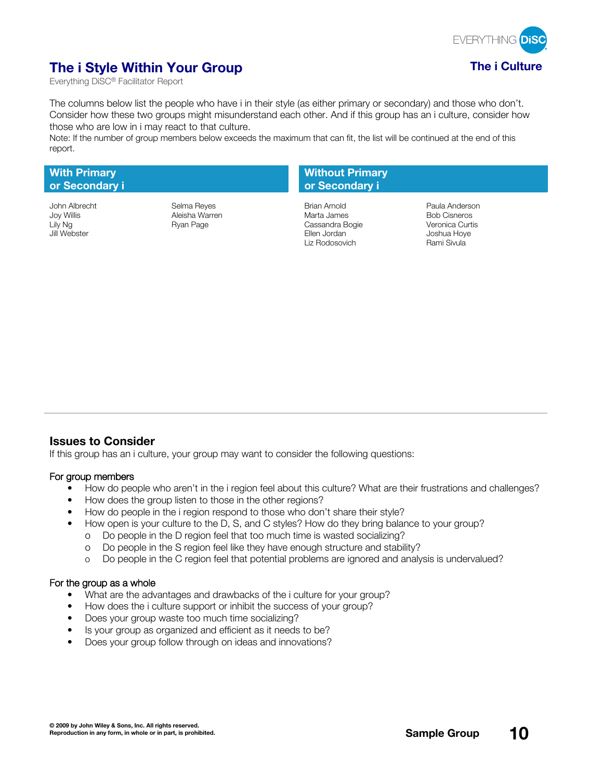

# **The i Style Within Your Group The i Culture**

Everything DiSC® Facilitator Report

The columns below list the people who have i in their style (as either primary or secondary) and those who don't. Consider how these two groups might misunderstand each other. And if this group has an i culture, consider how those who are low in i may react to that culture.

Note: If the number of group members below exceeds the maximum that can fit, the list will be continued at the end of this report.

#### **With Primary or Secondary i**

### **Without Primary or Secondary i**

John Albrecht Selma Reyes Brian Arnold Paula Anderson Joy Willis Aleisha Warren Marta James Bob Cisneros Lily Ng **Cassandra Bogie** Ryan Page **Cassandra Bogie** Jill Webster Ellen Jordan Joshua Hoye Liz Rodosovich Rami Sivula

### **Issues to Consider**

If this group has an i culture, your group may want to consider the following questions:

#### **For group members**

- How do people who aren't in the i region feel about this culture? What are their frustrations and challenges?
- How does the group listen to those in the other regions?
- How do people in the i region respond to those who don't share their style?
- How open is your culture to the D, S, and C styles? How do they bring balance to your group?
	- o Do people in the D region feel that too much time is wasted socializing?
	- o Do people in the S region feel like they have enough structure and stability?
	- o Do people in the C region feel that potential problems are ignored and analysis is undervalued?

- What are the advantages and drawbacks of the i culture for your group?
- How does the i culture support or inhibit the success of your group?
- Does your group waste too much time socializing?
- Is your group as organized and efficient as it needs to be?
- Does your group follow through on ideas and innovations?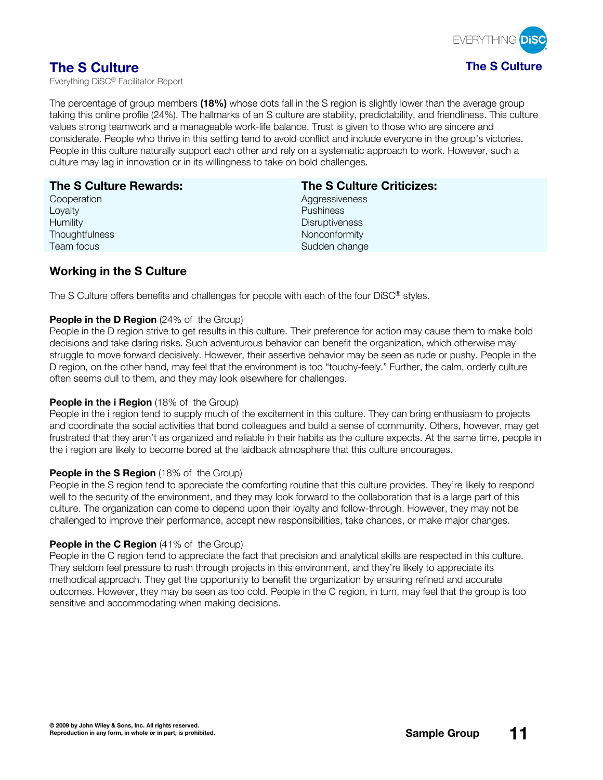

The percentage of group members **(18%)** whose dots fall in the S region is slightly lower than the average group taking this online profile (24%). The hallmarks of an S culture are stability, predictability, and friendliness. This culture values strong teamwork and a manageable work-life balance. Trust is given to those who are sincere and considerate. People who thrive in this setting tend to avoid conflict and include everyone in the group's victories. People in this culture naturally support each other and rely on a systematic approach to work. However, such a culture may lag in innovation or in its willingness to take on bold challenges.

## **The S Culture Rewards:**

**Cooperation** Loyalty **Humility Thoughtfulness** Team focus

### **The S Culture Criticizes:**

**Aggressiveness** Pushiness **Disruptiveness** Nonconformity Sudden change

# **Working in the S Culture**

The S Culture offers benefits and challenges for people with each of the four DiSC® styles.

#### **People in the D Region** (24% of the Group)

People in the D region strive to get results in this culture. Their preference for action may cause them to make bold decisions and take daring risks. Such adventurous behavior can benefit the organization, which otherwise may struggle to move forward decisively. However, their assertive behavior may be seen as rude or pushy. People in the D region, on the other hand, may feel that the environment is too "touchy-feely." Further, the calm, orderly culture often seems dull to them, and they may look elsewhere for challenges.

#### **People in the i Region** (18% of the Group)

People in the i region tend to supply much of the excitement in this culture. They can bring enthusiasm to projects and coordinate the social activities that bond colleagues and build a sense of community. Others, however, may get frustrated that they aren't as organized and reliable in their habits as the culture expects. At the same time, people in the i region are likely to become bored at the laidback atmosphere that this culture encourages.

#### **People in the S Region** (18% of the Group)

People in the S region tend to appreciate the comforting routine that this culture provides. They're likely to respond well to the security of the environment, and they may look forward to the collaboration that is a large part of this culture. The organization can come to depend upon their loyalty and follow-through. However, they may not be challenged to improve their performance, accept new responsibilities, take chances, or make major changes.

#### **People in the C Region** (41% of the Group)

People in the C region tend to appreciate the fact that precision and analytical skills are respected in this culture. They seldom feel pressure to rush through projects in this environment, and they're likely to appreciate its methodical approach. They get the opportunity to benefit the organization by ensuring refined and accurate outcomes. However, they may be seen as too cold. People in the C region, in turn, may feel that the group is too sensitive and accommodating when making decisions.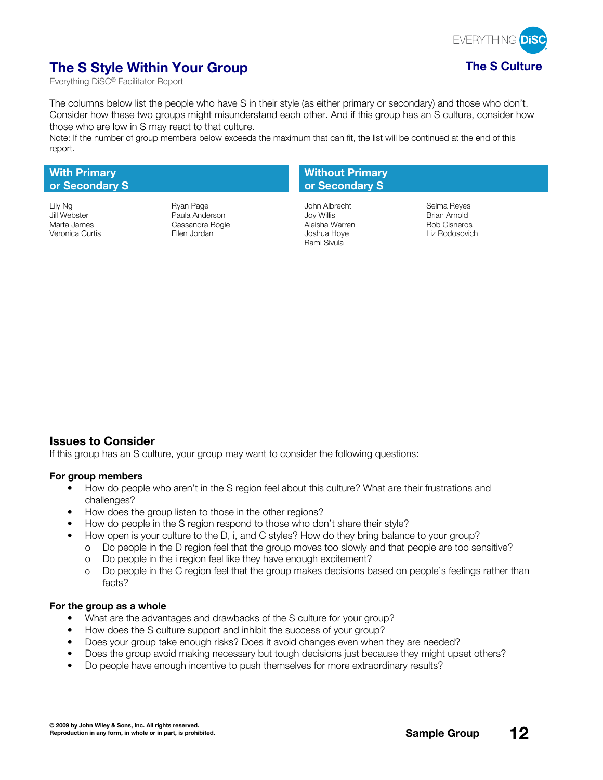

# **The S Style Within Your Group The S Culture**

Everything DiSC® Facilitator Report

The columns below list the people who have S in their style (as either primary or secondary) and those who don't. Consider how these two groups might misunderstand each other. And if this group has an S culture, consider how those who are low in S may react to that culture.

Note: If the number of group members below exceeds the maximum that can fit, the list will be continued at the end of this report.

#### **With Primary or Secondary S**

Jill Webster Paula Anderson Joy Willis Brian Arnold Cassandra Bogie Veronica Curtis **Ellen Jordan Martis Ellen Jordan State** Joshua Hoye Liz Rodosovich

### **Without Primary or Secondary S**

Lily Ng Ryan Page John Albrecht Selma Reyes Rami Sivula

### **Issues to Consider**

If this group has an S culture, your group may want to consider the following questions:

#### **For group members**

- How do people who aren't in the S region feel about this culture? What are their frustrations and challenges?
- How does the group listen to those in the other regions?
- How do people in the S region respond to those who don't share their style?
- How open is your culture to the D, i, and C styles? How do they bring balance to your group?
	- o Do people in the D region feel that the group moves too slowly and that people are too sensitive?
	- o Do people in the i region feel like they have enough excitement?
	- o Do people in the C region feel that the group makes decisions based on people's feelings rather than facts?

- What are the advantages and drawbacks of the S culture for your group?
- How does the S culture support and inhibit the success of your group?
- Does your group take enough risks? Does it avoid changes even when they are needed?
- Does the group avoid making necessary but tough decisions just because they might upset others?
- Do people have enough incentive to push themselves for more extraordinary results?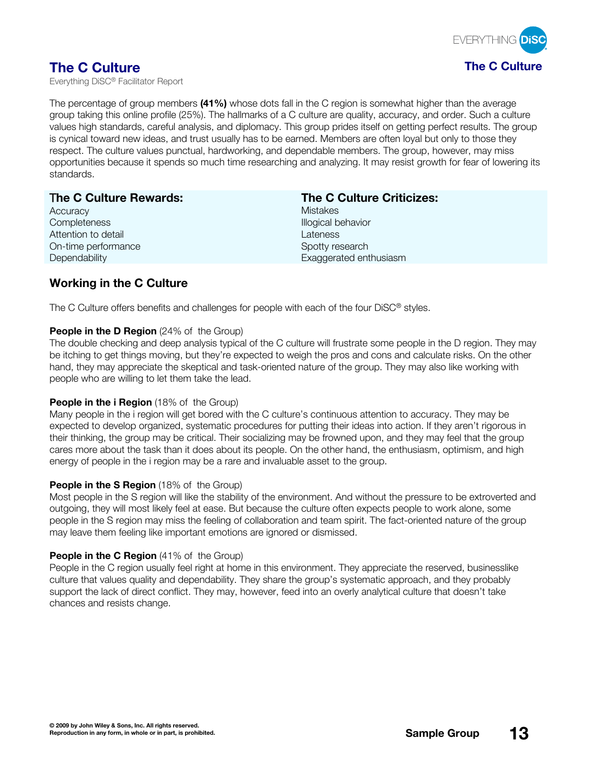

The percentage of group members **(41%)** whose dots fall in the C region is somewhat higher than the average group taking this online profile (25%). The hallmarks of a C culture are quality, accuracy, and order. Such a culture values high standards, careful analysis, and diplomacy. This group prides itself on getting perfect results. The group is cynical toward new ideas, and trust usually has to be earned. Members are often loyal but only to those they respect. The culture values punctual, hardworking, and dependable members. The group, however, may miss opportunities because it spends so much time researching and analyzing. It may resist growth for fear of lowering its standards.

| The C Culture Rewards: | <b>The C Culture Criticizes:</b> |
|------------------------|----------------------------------|
| Accuracy               | <b>Mistakes</b>                  |
| Completeness           | Illogical behavior               |
| Attention to detail    | Lateness                         |
| On-time performance    | Spotty research                  |
| Dependability          | Exaggerated enthusiasm           |
|                        |                                  |

# **Working in the C Culture**

The C Culture offers benefits and challenges for people with each of the four DiSC® styles.

#### **People in the D Region** (24% of the Group)

The double checking and deep analysis typical of the C culture will frustrate some people in the D region. They may be itching to get things moving, but they're expected to weigh the pros and cons and calculate risks. On the other hand, they may appreciate the skeptical and task-oriented nature of the group. They may also like working with people who are willing to let them take the lead.

#### **People in the i Region** (18% of the Group)

Many people in the i region will get bored with the C culture's continuous attention to accuracy. They may be expected to develop organized, systematic procedures for putting their ideas into action. If they aren't rigorous in their thinking, the group may be critical. Their socializing may be frowned upon, and they may feel that the group cares more about the task than it does about its people. On the other hand, the enthusiasm, optimism, and high energy of people in the i region may be a rare and invaluable asset to the group.

#### **People in the S Region** (18% of the Group)

Most people in the S region will like the stability of the environment. And without the pressure to be extroverted and outgoing, they will most likely feel at ease. But because the culture often expects people to work alone, some people in the S region may miss the feeling of collaboration and team spirit. The fact-oriented nature of the group may leave them feeling like important emotions are ignored or dismissed.

#### **People in the C Region** (41% of the Group)

People in the C region usually feel right at home in this environment. They appreciate the reserved, businesslike culture that values quality and dependability. They share the group's systematic approach, and they probably support the lack of direct conflict. They may, however, feed into an overly analytical culture that doesn't take chances and resists change.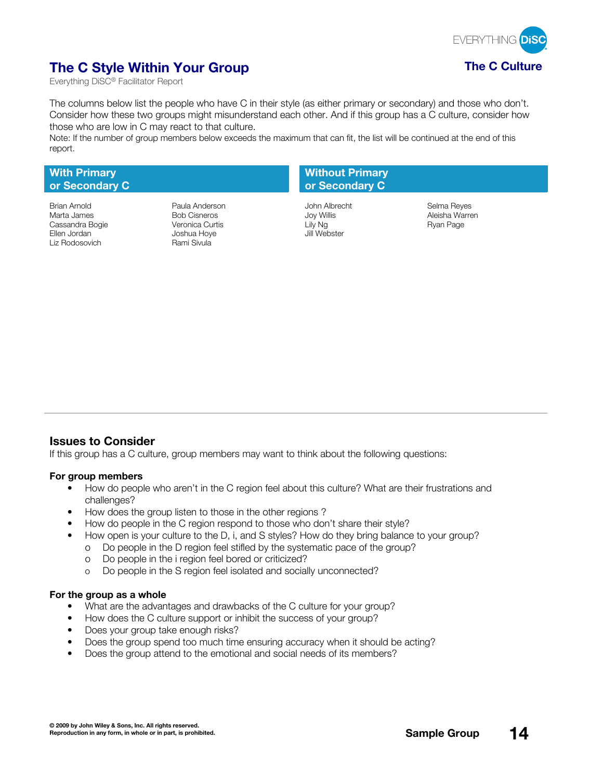

# **The C Style Within Your Group The C Culture**

Everything DiSC® Facilitator Report

The columns below list the people who have C in their style (as either primary or secondary) and those who don't. Consider how these two groups might misunderstand each other. And if this group has a C culture, consider how those who are low in C may react to that culture.

Note: If the number of group members below exceeds the maximum that can fit, the list will be continued at the end of this report.

#### **With Primary or Secondary C**

Marta James Bob Cisneros Joy Willis Aleisha Warren Cassandra Bogie Ellen Jordan Joshua Hoye Jill Webster

Brian Arnold Paula Anderson John Albrecht Selma Reyes Rami Sivula

### **Without Primary or Secondary C**

### **Issues to Consider**

If this group has a C culture, group members may want to think about the following questions:

#### **For group members**

- How do people who aren't in the C region feel about this culture? What are their frustrations and challenges?
- How does the group listen to those in the other regions ?
- How do people in the C region respond to those who don't share their style?
- How open is your culture to the D, i, and S styles? How do they bring balance to your group?
	- o Do people in the D region feel stifled by the systematic pace of the group?
	- o Do people in the i region feel bored or criticized?
	- o Do people in the S region feel isolated and socially unconnected?

- What are the advantages and drawbacks of the C culture for your group?
- How does the C culture support or inhibit the success of your group?
- Does your group take enough risks?
- Does the group spend too much time ensuring accuracy when it should be acting?
- Does the group attend to the emotional and social needs of its members?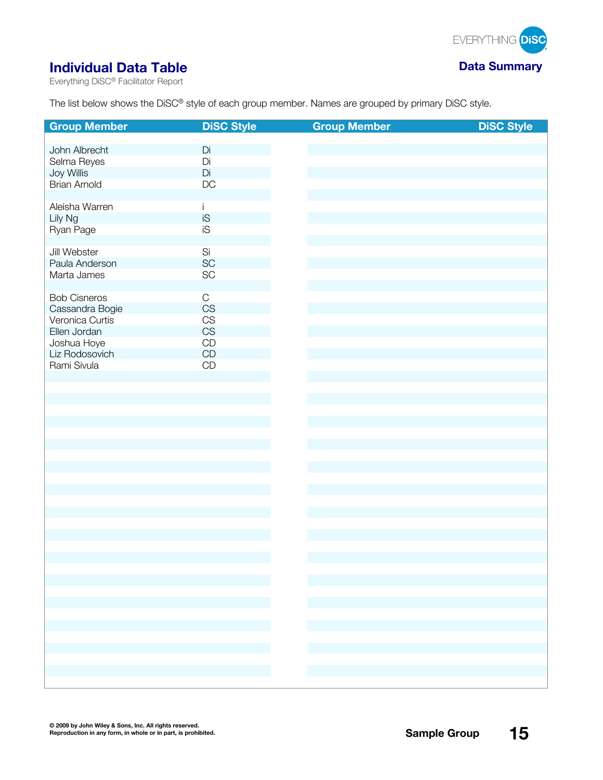

# **Individual Data Table Data Data Data Data Data Data Data Data Data Data Data Data Data Data Data Data Data Data Data Data Data Data Data Data Data Data Data Data D**

Everything DiSC® Facilitator Report

The list below shows the DiSC® style of each group member. Names are grouped by primary DiSC style.

| <b>Group Member</b>            | <b>DiSC Style</b>      | <b>Group Member</b>        | <b>DiSC Style</b> |
|--------------------------------|------------------------|----------------------------|-------------------|
|                                |                        |                            |                   |
| John Albrecht                  | Di<br>Di               |                            |                   |
| Selma Reyes<br>Joy Willis      | Di                     |                            |                   |
| <b>Brian Arnold</b>            | DC                     |                            |                   |
|                                |                        |                            |                   |
| Aleisha Warren                 | j.                     |                            |                   |
| Lily Ng                        | iS                     |                            |                   |
| Ryan Page                      | iS                     |                            |                   |
|                                |                        |                            |                   |
| Jill Webster<br>Paula Anderson | Si<br>SC               |                            |                   |
| Marta James                    | SC                     |                            |                   |
|                                |                        |                            |                   |
| <b>Bob Cisneros</b>            | $\mathbf C$            |                            |                   |
| Cassandra Bogie                | $\mathbb{C}\mathbb{S}$ |                            |                   |
| Veronica Curtis                | CS                     |                            |                   |
| Ellen Jordan                   | $\mathbb{C}\mathbb{S}$ |                            |                   |
| Joshua Hoye                    | $\mathop{\mathsf{CD}}$ |                            |                   |
| Liz Rodosovich                 | $\mathsf{CD}$          |                            |                   |
| Rami Sivula                    | $\mathop{\mathsf{CD}}$ |                            |                   |
|                                |                        |                            |                   |
|                                |                        |                            |                   |
|                                |                        |                            |                   |
|                                |                        |                            |                   |
|                                |                        |                            |                   |
|                                |                        |                            |                   |
|                                |                        |                            |                   |
|                                |                        |                            |                   |
|                                |                        |                            |                   |
|                                |                        |                            |                   |
|                                |                        |                            |                   |
|                                |                        |                            |                   |
|                                |                        |                            |                   |
|                                |                        |                            |                   |
|                                |                        |                            |                   |
|                                |                        |                            |                   |
|                                |                        |                            |                   |
|                                |                        |                            |                   |
|                                |                        | F.                         |                   |
|                                |                        |                            |                   |
|                                |                        | $\mathcal{L}^{\text{max}}$ |                   |
|                                |                        |                            |                   |
|                                |                        |                            |                   |
|                                |                        |                            |                   |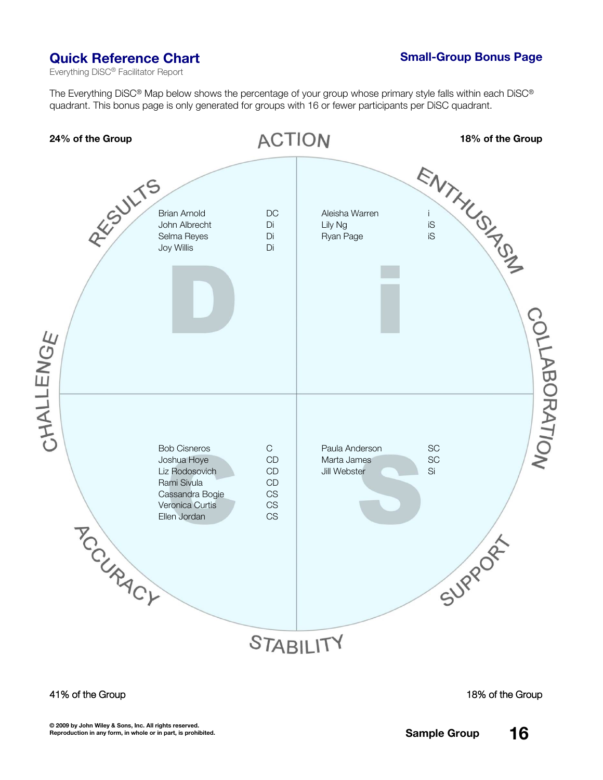# **Quick Reference Chart Small-Group Bonus** Page

Everything DiSC® Facilitator Report

The Everything DiSC® Map below shows the percentage of your group whose primary style falls within each DiSC® quadrant. This bonus page is only generated for groups with 16 or fewer participants per DiSC quadrant.



#### **41% of the Group 18% of the Group**